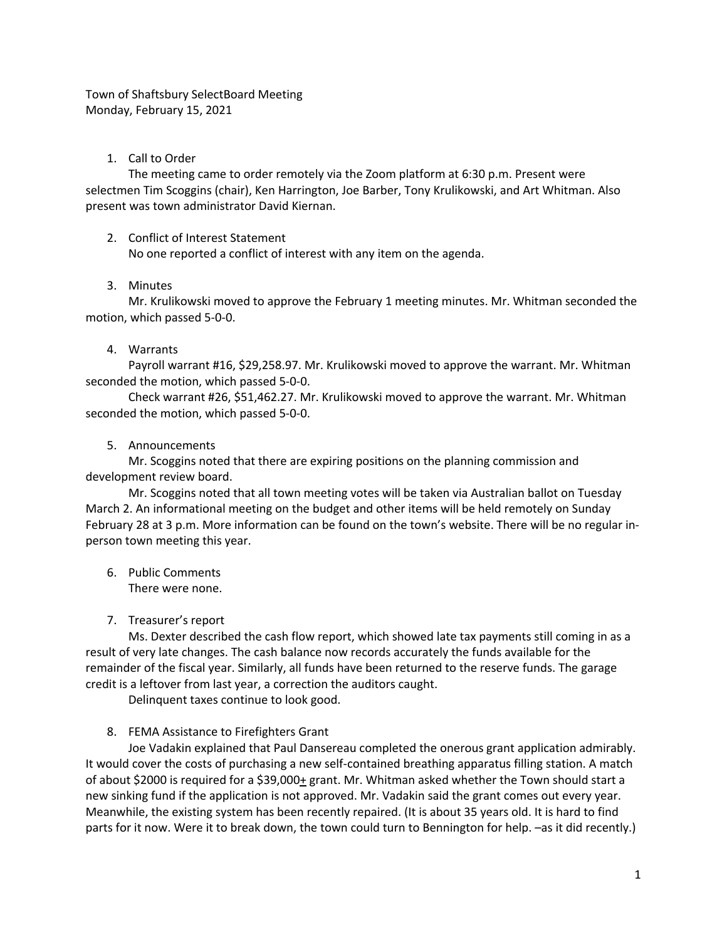Town of Shaftsbury SelectBoard Meeting Monday, February 15, 2021

### 1. Call to Order

The meeting came to order remotely via the Zoom platform at 6:30 p.m. Present were selectmen Tim Scoggins (chair), Ken Harrington, Joe Barber, Tony Krulikowski, and Art Whitman. Also present was town administrator David Kiernan.

### 2. Conflict of Interest Statement

No one reported a conflict of interest with any item on the agenda.

### 3. Minutes

Mr. Krulikowski moved to approve the February 1 meeting minutes. Mr. Whitman seconded the motion, which passed 5-0-0.

# 4. Warrants

Payroll warrant #16, \$29,258.97. Mr. Krulikowski moved to approve the warrant. Mr. Whitman seconded the motion, which passed 5-0-0.

Check warrant #26, \$51,462.27. Mr. Krulikowski moved to approve the warrant. Mr. Whitman seconded the motion, which passed 5-0-0.

# 5. Announcements

Mr. Scoggins noted that there are expiring positions on the planning commission and development review board.

Mr. Scoggins noted that all town meeting votes will be taken via Australian ballot on Tuesday March 2. An informational meeting on the budget and other items will be held remotely on Sunday February 28 at 3 p.m. More information can be found on the town's website. There will be no regular inperson town meeting this year.

- 6. Public Comments There were none.
- 7. Treasurer's report

Ms. Dexter described the cash flow report, which showed late tax payments still coming in as a result of very late changes. The cash balance now records accurately the funds available for the remainder of the fiscal year. Similarly, all funds have been returned to the reserve funds. The garage credit is a leftover from last year, a correction the auditors caught.

Delinquent taxes continue to look good.

# 8. FEMA Assistance to Firefighters Grant

Joe Vadakin explained that Paul Dansereau completed the onerous grant application admirably. It would cover the costs of purchasing a new self-contained breathing apparatus filling station. A match of about \$2000 is required for a \$39,000+ grant. Mr. Whitman asked whether the Town should start a new sinking fund if the application is not approved. Mr. Vadakin said the grant comes out every year. Meanwhile, the existing system has been recently repaired. (It is about 35 years old. It is hard to find parts for it now. Were it to break down, the town could turn to Bennington for help. –as it did recently.)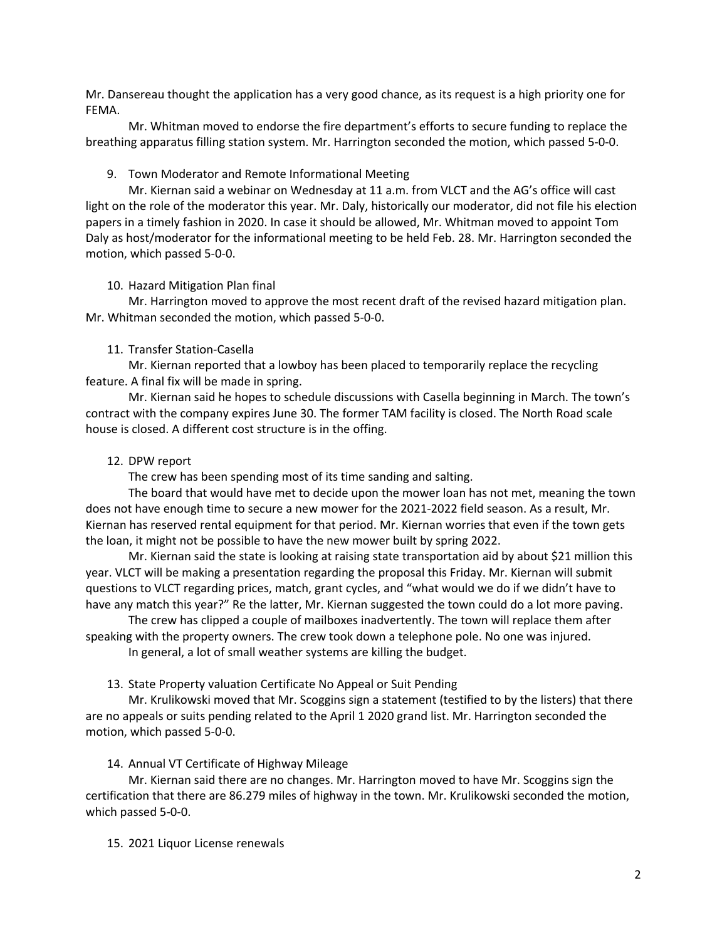Mr. Dansereau thought the application has a very good chance, as its request is a high priority one for FEMA.

Mr. Whitman moved to endorse the fire department's efforts to secure funding to replace the breathing apparatus filling station system. Mr. Harrington seconded the motion, which passed 5-0-0.

### 9. Town Moderator and Remote Informational Meeting

Mr. Kiernan said a webinar on Wednesday at 11 a.m. from VLCT and the AG's office will cast light on the role of the moderator this year. Mr. Daly, historically our moderator, did not file his election papers in a timely fashion in 2020. In case it should be allowed, Mr. Whitman moved to appoint Tom Daly as host/moderator for the informational meeting to be held Feb. 28. Mr. Harrington seconded the motion, which passed 5-0-0.

#### 10. Hazard Mitigation Plan final

Mr. Harrington moved to approve the most recent draft of the revised hazard mitigation plan. Mr. Whitman seconded the motion, which passed 5-0-0.

#### 11. Transfer Station-Casella

Mr. Kiernan reported that a lowboy has been placed to temporarily replace the recycling feature. A final fix will be made in spring.

Mr. Kiernan said he hopes to schedule discussions with Casella beginning in March. The town's contract with the company expires June 30. The former TAM facility is closed. The North Road scale house is closed. A different cost structure is in the offing.

#### 12. DPW report

The crew has been spending most of its time sanding and salting.

The board that would have met to decide upon the mower loan has not met, meaning the town does not have enough time to secure a new mower for the 2021-2022 field season. As a result, Mr. Kiernan has reserved rental equipment for that period. Mr. Kiernan worries that even if the town gets the loan, it might not be possible to have the new mower built by spring 2022.

Mr. Kiernan said the state is looking at raising state transportation aid by about \$21 million this year. VLCT will be making a presentation regarding the proposal this Friday. Mr. Kiernan will submit questions to VLCT regarding prices, match, grant cycles, and "what would we do if we didn't have to have any match this year?" Re the latter, Mr. Kiernan suggested the town could do a lot more paving.

The crew has clipped a couple of mailboxes inadvertently. The town will replace them after speaking with the property owners. The crew took down a telephone pole. No one was injured.

In general, a lot of small weather systems are killing the budget.

13. State Property valuation Certificate No Appeal or Suit Pending

Mr. Krulikowski moved that Mr. Scoggins sign a statement (testified to by the listers) that there are no appeals or suits pending related to the April 1 2020 grand list. Mr. Harrington seconded the motion, which passed 5-0-0.

14. Annual VT Certificate of Highway Mileage

Mr. Kiernan said there are no changes. Mr. Harrington moved to have Mr. Scoggins sign the certification that there are 86.279 miles of highway in the town. Mr. Krulikowski seconded the motion, which passed 5-0-0.

15. 2021 Liquor License renewals